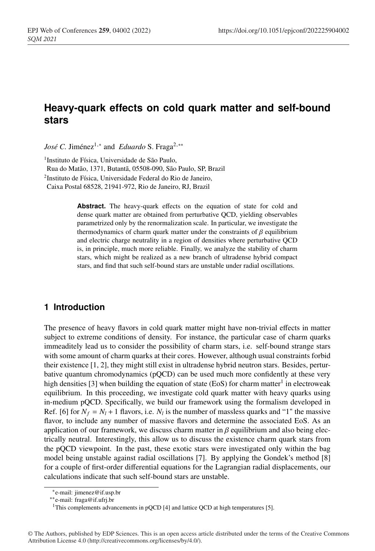# **Heavy-quark effects on cold quark matter and self-bound stars**

*José C.* Jiménez<sup>1,∗</sup> and *Eduardo* S. Fraga<sup>2,</sup>\*\*

1Instituto de Física, Universidade de São Paulo,

Rua do Matão, 1371, Butantã, 05508-090, São Paulo, SP, Brazil

2Instituto de Física, Universidade Federal do Rio de Janeiro,

Caixa Postal 68528, 21941-972, Rio de Janeiro, RJ, Brazil

**Abstract.** The heavy-quark effects on the equation of state for cold and dense quark matter are obtained from perturbative QCD, yielding observables parametrized only by the renormalization scale. In particular, we investigate the thermodynamics of charm quark matter under the constraints of  $\beta$  equilibrium and electric charge neutrality in a region of densities where perturbative QCD is, in principle, much more reliable. Finally, we analyze the stability of charm stars, which might be realized as a new branch of ultradense hybrid compact stars, and find that such self-bound stars are unstable under radial oscillations.

#### **1 Introduction**

The presence of heavy flavors in cold quark matter might have non-trivial effects in matter subject to extreme conditions of density. For instance, the particular case of charm quarks immeaditely lead us to consider the possibility of charm stars, i.e. self-bound strange stars with some amount of charm quarks at their cores. However, although usual constraints forbid their existence [1, 2], they might still exist in ultradense hybrid neutron stars. Besides, perturbative quantum chromodynamics (pQCD) can be used much more confidently at these very high densities [3] when building the equation of state (EoS) for charm matter<sup>1</sup> in electroweak equilibrium. In this proceeding, we investigate cold quark matter with heavy quarks using in-medium pQCD. Specifically, we build our framework using the formalism developed in Ref. [6] for  $N_f = N_l + 1$  flavors, i.e.  $N_l$  is the number of massless quarks and "1" the massive flavor, to include any number of massive flavors and determine the associated EoS. As an application of our framework, we discuss charm matter in  $\beta$  equilibrium and also being electrically neutral. Interestingly, this allow us to discuss the existence charm quark stars from the pQCD viewpoint. In the past, these exotic stars were investigated only within the bag model being unstable against radial oscillations [7]. By applying the Gondek's method [8] for a couple of first-order differential equations for the Lagrangian radial displacements, our calculations indicate that such self-bound stars are unstable.

<sup>∗</sup>e-mail: jimenez@if.usp.br

<sup>∗∗</sup>e-mail: fraga@if.ufrj.br

<sup>&</sup>lt;sup>1</sup>This complements advancements in pQCD [4] and lattice QCD at high temperatures [5].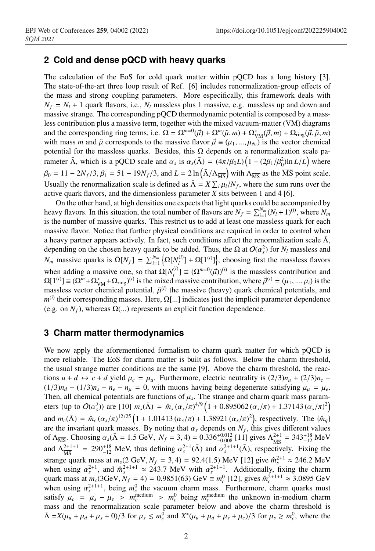### **2 Cold and dense pQCD with heavy quarks**

The calculation of the EoS for cold quark matter within pQCD has a long history [3]. The state-of-the-art three loop result of Ref. [6] includes renormalization-group effects of the mass and strong coupling parameters. More especifically, this framework deals with  $N_f = N_l + 1$  quark flavors, i.e.,  $N_l$  massless plus 1 massive, e.g. massless up and down and massive strange. The corresponding pQCD thermodynamic potential is composed by a massless contribution plus a massive term, together with the mixed vacuum-matter (VM) diagrams and the corresponding ring terms, i.e.  $\Omega = \Omega^{m=0}(\vec{\mu}) + \Omega^m(\tilde{\mu}, m) + \Omega^x_{VM}(\vec{\mu}, m) + \Omega_{ring}(\vec{\mu}, \tilde{\mu}, m)$ with mass *m* and  $\tilde{\mu}$  corresponds to the massive flavor  $\vec{\mu} \equiv (\mu_1, ..., \mu_{N_l})$  is the vector chemical potential for the massless quarks. Besides, this  $\Omega$  depends on a renormalization scale parameter  $\bar{\Lambda}$ , which is a pQCD scale and  $\alpha_s$  is  $\alpha_s(\bar{\Lambda}) = (4\pi/\beta_0 L) (1 - (2\beta_1/\beta_0^2) \ln L/L)$  where  $\beta_0 = 11 - 2N_f/3$ ,  $\beta_1 = 51 - 19N_f/3$ , and  $L = 2 \ln(\bar{\Lambda}/\Lambda_{\overline{\rm MS}})$  with  $\Lambda_{\overline{\rm MS}}$  as the  $\overline{\rm MS}$  point scale. Usually the renormalization scale is defined as  $\bar{\Lambda} = X \sum_i \mu_i / N_f$ , where the sum runs over the active quark flavors, and the dimensionless parameter *X* sits between 1 and 4 [6].

On the other hand, at high densities one expects that light quarks could be accompanied by heavy flavors. In this situation, the total number of flavors are  $N_f = \sum_{i=1}^{N_m} (N_l + 1)^{(i)}$ , where  $N_m$ is the number of massive quarks. This restrict us to add at least one massless quark for each massive flavor. Notice that further physical conditions are required in order to control when a heavy partner appears actively. In fact, such conditions affect the renormalization scale  $\Lambda$ , depending on the chosen heavy quark to be added. Thus, the  $\Omega$  at  $O(\alpha_s^2)$  for  $N_l$  massless and *N<sub>m</sub>* massive quarks is  $\overline{\Omega}[N_f] = \sum_{i=1}^{N_m} \left\{ \Omega[N_f^{(i)}] + \Omega[1^{(i)}] \right\}$ , choosing first the massless flavors when adding a massive one, so that  $\Omega[N_l^{(i)}] \equiv (\Omega^{m=0}(\vec{\mu}))^{(i)}$  is the massless contribution and  $\Omega[1^{(i)}] \equiv (\Omega^m + \Omega^x_{VM} + \Omega_{ring})^{(i)}$  is the mixed massive contribution, where  $\vec{\mu}^{(i)} = (\mu_1, ..., \mu_i)$  is the massless vector chemical potential,  $\tilde{\mu}^{(i)}$  the massive (heavy) quark chemical potentials, and  $m^{(i)}$  their corresponding masses. Here,  $\Omega$ [...] indicates just the implicit parameter dependence (e.g. on  $N_f$ ), whereas  $\Omega$ (...) represents an explicit function dependence.

#### **3 Charm matter thermodynamics**

We now apply the aforementioned formalism to charm quark matter for which pQCD is more reliable. The EoS for charm matter is built as follows. Below the charm threshold, the usual strange matter conditions are the same [9]. Above the charm threshold, the reactions  $u + d \leftrightarrow c + d$  yield  $\mu_c = \mu_u$ . Furthermore, electric neutrality is  $(2/3)n_u + (2/3)n_c$  $(1/3)n_d - (1/3)n_s - n_e - n_\mu = 0$ , with muons having being degenerate satisfying  $\mu_\mu = \mu_e$ . Then, all chemical potentials are functions of  $\mu_s$ . The strange and charm quark mass parameters (up to  $O(\alpha_s^2)$ ) are [10]  $m_s(\bar{\Lambda}) = \hat{m}_s(\alpha_s/\pi)^{4/9} (1 + 0.895062(\alpha_s/\pi) + 1.37143(\alpha_s/\pi)^2)$ and  $m_c(\bar{\Lambda}) = \hat{m}_c (\alpha_s/\pi)^{12/25} (1 + 1.01413 (\alpha_s/\pi) + 1.38921 (\alpha_s/\pi)^2)$ , respectively. The  $\{\hat{m}_q\}$ are the invariant quark masses. By noting that  $\alpha_s$  depends on  $N_f$ , this gives different values of  $\Lambda_{\overline{\text{MS}}}$ . Choosing  $\alpha_s(\overline{\Lambda} = 1.5 \text{ GeV}, N_f = 3, 4) = 0.336_{-0.008}^{+0.012} [11]$  gives  $\Lambda_{\overline{\text{MS}}}^{2+1} = 343_{-12}^{+18} \text{ MeV}$ and  $\Lambda_{\overline{\rm MS}}^{2+1+1} = 290^{+18}_{-12}$  MeV, thus defining  $\alpha_s^{2+1}(\overline{\Lambda})$  and  $\alpha_s^{2+1+1}(\overline{\Lambda})$ , respectively. Fixing the strange quark mass at  $m_s$ (2 GeV,  $N_f$  = 3, 4) = 92.4(1.5) MeV [12] give  $\hat{m}_s^{2+1} \approx 246.2$  MeV when using  $\alpha_s^{2+1}$ , and  $\hat{m}_s^{2+1+1} \approx 243.7$  MeV with  $\alpha_s^{2+1+1}$ . Additionally, fixing the charm quark mass at  $m_c(3\text{GeV}, N_f = 4) = 0.9851(63) \text{ GeV} \equiv m_c^0$  [12], gives  $\hat{m}_c^{2+1+1} \approx 3.0895 \text{ GeV}$ when using  $\alpha_s^{2+1+1}$ , being  $m_c^0$  the vacuum charm mass. Furthermore, charm quarks must satisfy  $\mu_c = \mu_s - \mu_e > m_c^{\text{medium}} > m_c^0$  being  $m_c^{\text{medium}}$  the unknown in-medium charm mass and the renormalization scale parameter below and above the charm threshold is  $\bar{\Lambda} = X(\mu_u + \mu_d + \mu_s + 0)/3$  for  $\mu_s \le m_c^0$  and  $X^*(\mu_u + \mu_d + \mu_s + \mu_c)/3$  for  $\mu_s \ge m_c^0$ , where the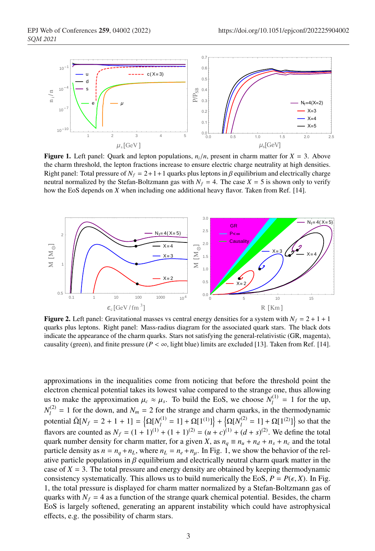

**Figure 1.** Left panel: Quark and lepton populations,  $n_i/n$ , present in charm matter for  $X = 3$ . Above the charm threshold, the lepton fractions increase to ensure electric charge neutrality at high densities. Right panel: Total pressure of  $N_f = 2 + 1 + 1$  quarks plus leptons in  $\beta$  equilibrium and electrically charge neutral normalized by the Stefan-Boltzmann gas with  $N_f = 4$ . The case  $X = 5$  is shown only to verify how the EoS depends on *X* when including one additional heavy flavor. Taken from Ref. [14].



**Figure 2.** Left panel: Gravitational masses vs central energy densities for a system with  $N_f = 2 + 1 + 1$ quarks plus leptons. Right panel: Mass-radius diagram for the associated quark stars. The black dots indicate the appearance of the charm quarks. Stars not satisfying the general-relativistic (GR, magenta), causality (green), and finite pressure ( $P < \infty$ , light blue) limits are excluded [13]. Taken from Ref. [14].

approximations in the inequalities come from noticing that before the threshold point the electron chemical potential takes its lowest value compared to the strange one, thus allowing us to make the approximation  $\mu_c \approx \mu_s$ . To build the EoS, we choose  $N_l^{(1)} = 1$  for the up,  $N_l^{(2)} = 1$  for the down, and  $N_m = 2$  for the strange and charm quarks, in the thermodynamic potential  $\bar{\Omega}[N_f = 2 + 1 + 1] = {\Omega[N_l^{(1)} = 1] + \Omega[1^{(1)}]} + {\Omega[N_l^{(2)} = 1] + \Omega[1^{(2)}]}$  so that the flavors are counted as  $N_f = (1 + 1)^{(1)} + (1 + 1)^{(2)} = (u + c)^{(1)} + (d + s)^{(2)}$ . We define the total quark number density for charm matter, for a given *X*, as  $n_a \equiv n_u + n_d + n_s + n_c$  and the total particle density as  $n = n_q + n_L$ , where  $n_L = n_e + n_\mu$ . In Fig. 1, we show the behavior of the relative particle populations in  $\beta$  equilibrium and electrically neutral charm quark matter in the case of  $X = 3$ . The total pressure and energy density are obtained by keeping thermodynamic consistency systematically. This allows us to build numerically the EoS,  $P = P(\epsilon, X)$ . In Fig. 1, the total pressure is displayed for charm matter normalized by a Stefan-Boltzmann gas of quarks with  $N_f = 4$  as a function of the strange quark chemical potential. Besides, the charm EoS is largely softened, generating an apparent instability which could have astrophysical effects, e.g. the possibility of charm stars.